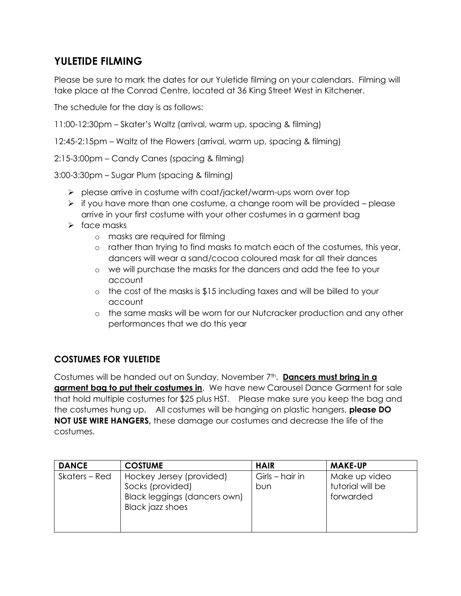## **YULETIDE FILMING**

Please be sure to mark the dates for our Yuletide filming on your calendars. Filming will take place at the Conrad Centre, located at 36 King Street West in Kitchener.

The schedule for the day is as follows:

11:00-12:30pm – Skater's Waltz (arrival, warm up, spacing & filming)

12:45-2:15pm – Waltz of the Flowers (arrival, warm up, spacing & filming)

2:15-3:00pm – Candy Canes (spacing & filming)

3:00-3:30pm – Sugar Plum (spacing & filming)

- ➢ please arrive in costume with coat/jacket/warm-ups worn over top
- $\triangleright$  if you have more than one costume, a change room will be provided please arrive in your first costume with your other costumes in a garment bag
- ➢ face masks
	- o masks are required for filming
	- o rather than trying to find masks to match each of the costumes, this year, dancers will wear a sand/cocoa coloured mask for all their dances
	- o we will purchase the masks for the dancers and add the fee to your account
	- o the cost of the masks is \$15 including taxes and will be billed to your account
	- o the same masks will be worn for our Nutcracker production and any other performances that we do this year

## **COSTUMES FOR YULETIDE**

Costumes will be handed out on Sunday, November 7<sup>th</sup>. **Dancers must bring in a garment bag to put their costumes in**. We have new Carousel Dance Garment for sale that hold multiple costumes for \$25 plus HST. Please make sure you keep the bag and the costumes hung up. All costumes will be hanging on plastic hangers, **please DO NOT USE WIRE HANGERS,** these damage our costumes and decrease the life of the costumes.

| <b>DANCE</b>  | <b>COSTUME</b>                                                                                   | <b>HAIR</b>             | <b>MAKE-UP</b>                                 |
|---------------|--------------------------------------------------------------------------------------------------|-------------------------|------------------------------------------------|
| Skaters – Red | Hockey Jersey (provided)<br>Socks (provided)<br>Black leggings (dancers own)<br>Black jazz shoes | Girls – hair in<br>bun. | Make up video<br>tutorial will be<br>forwarded |